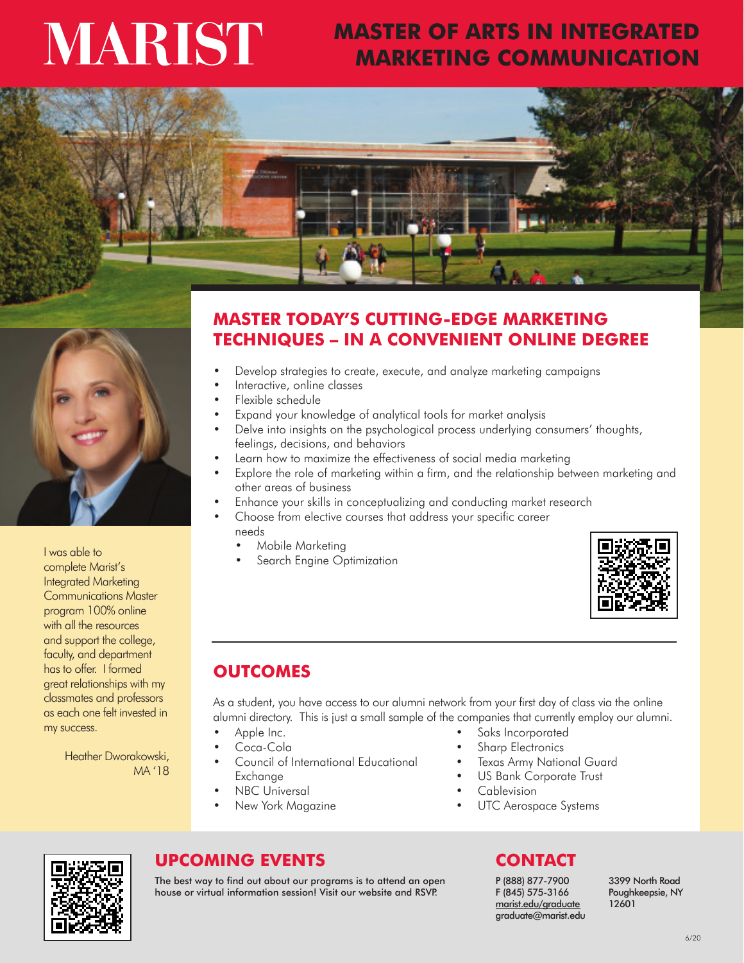# **MARIST**

## **MASTER OF ARTS IN INTEGRATED MARKETING COMMUNICATION**





I was able to complete Marist's Integrated Marketing Communications Master program 100% online with all the resources and support the college, faculty, and department has to offer. I formed great relationships with my classmates and professors as each one felt invested in my success.

> Heather Dworakowski, MA '18

## **MASTER TODAY'S CUTTING-EDGE MARKETING TECHNIQUES – IN A CONVENIENT ONLINE DEGREE**

- Develop strategies to create, execute, and analyze marketing campaigns
- Interactive, online classes
- Flexible schedule
- Expand your knowledge of analytical tools for market analysis
- Delve into insights on the psychological process underlying consumers' thoughts, feelings, decisions, and behaviors
- Learn how to maximize the effectiveness of social media marketing
- Explore the role of marketing within a firm, and the relationship between marketing and other areas of business
- Enhance your skills in conceptualizing and conducting market research
- Choose from elective courses that address your specific career needs
	- Mobile Marketing
	- Search Engine Optimization



## **OUTCOMES**

As a student, you have access to our alumni network from your first day of class via the online alumni directory. This is just a small sample of the companies that currently employ our alumni.

- Apple Inc.
- Coca-Cola
- Council of International Educational Exchange
- **NBC** Universal
- New York Magazine
- Saks Incorporated Sharp Electronics
- **Texas Army National Guard**
- US Bank Corporate Trust
- **Cablevision**
- 
- UTC Aerospace Systems



## **UPCOMING EVENTS CONTACT**

The best way to find out about our programs is to attend an open house or virtual information session! Visit our website and RSVP.

P (888) 877-7900 F (845) 575-3166 marist.edu/graduate graduate@marist.edu 3399 North Road Poughkeepsie, NY 12601